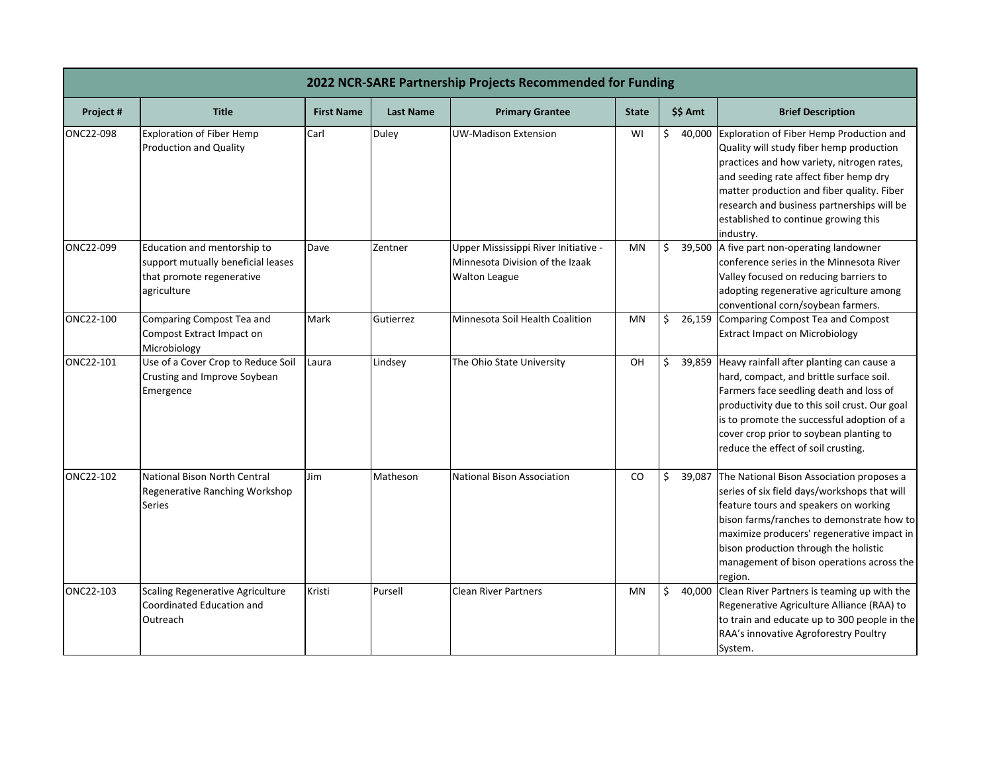| 2022 NCR-SARE Partnership Projects Recommended for Funding |                                                                                                               |                   |                  |                                                                                                 |              |              |                                                                                                                                                                                                                                                                                                                                |
|------------------------------------------------------------|---------------------------------------------------------------------------------------------------------------|-------------------|------------------|-------------------------------------------------------------------------------------------------|--------------|--------------|--------------------------------------------------------------------------------------------------------------------------------------------------------------------------------------------------------------------------------------------------------------------------------------------------------------------------------|
| Project #                                                  | <b>Title</b>                                                                                                  | <b>First Name</b> | <b>Last Name</b> | <b>Primary Grantee</b>                                                                          | <b>State</b> | \$\$ Amt     | <b>Brief Description</b>                                                                                                                                                                                                                                                                                                       |
| ONC22-098                                                  | <b>Exploration of Fiber Hemp</b><br><b>Production and Quality</b>                                             | Carl              | Duley            | <b>UW-Madison Extension</b>                                                                     | WI           | \$<br>40,000 | Exploration of Fiber Hemp Production and<br>Quality will study fiber hemp production<br>practices and how variety, nitrogen rates,<br>and seeding rate affect fiber hemp dry<br>matter production and fiber quality. Fiber<br>research and business partnerships will be<br>established to continue growing this<br>industry.  |
| ONC22-099                                                  | Education and mentorship to<br>support mutually beneficial leases<br>that promote regenerative<br>agriculture | Dave              | Zentner          | Upper Mississippi River Initiative -<br>Minnesota Division of the Izaak<br><b>Walton League</b> | MN           | \$           | 39,500 A five part non-operating landowner<br>conference series in the Minnesota River<br>Valley focused on reducing barriers to<br>adopting regenerative agriculture among<br>conventional corn/soybean farmers.                                                                                                              |
| ONC22-100                                                  | Comparing Compost Tea and<br>Compost Extract Impact on<br>Microbiology                                        | Mark              | Gutierrez        | Minnesota Soil Health Coalition                                                                 | MN           | \$           | 26,159 Comparing Compost Tea and Compost<br><b>Extract Impact on Microbiology</b>                                                                                                                                                                                                                                              |
| ONC22-101                                                  | Use of a Cover Crop to Reduce Soil<br>Crusting and Improve Soybean<br>Emergence                               | Laura             | Lindsey          | The Ohio State University                                                                       | OH           | \$<br>39,859 | Heavy rainfall after planting can cause a<br>hard, compact, and brittle surface soil.<br>Farmers face seedling death and loss of<br>productivity due to this soil crust. Our goal<br>is to promote the successful adoption of a<br>cover crop prior to soybean planting to<br>reduce the effect of soil crusting.              |
| ONC22-102                                                  | National Bison North Central<br>Regenerative Ranching Workshop<br><b>Series</b>                               | Jim               | Matheson         | <b>National Bison Association</b>                                                               | CO           | 39,087<br>Ś. | The National Bison Association proposes a<br>series of six field days/workshops that will<br>feature tours and speakers on working<br>bison farms/ranches to demonstrate how to<br>maximize producers' regenerative impact in<br>bison production through the holistic<br>management of bison operations across the<br>region. |
| ONC22-103                                                  | <b>Scaling Regenerative Agriculture</b><br>Coordinated Education and<br>Outreach                              | Kristi            | Pursell          | <b>Clean River Partners</b>                                                                     | <b>MN</b>    | \$<br>40,000 | Clean River Partners is teaming up with the<br>Regenerative Agriculture Alliance (RAA) to<br>to train and educate up to 300 people in the<br>RAA's innovative Agroforestry Poultry<br>System.                                                                                                                                  |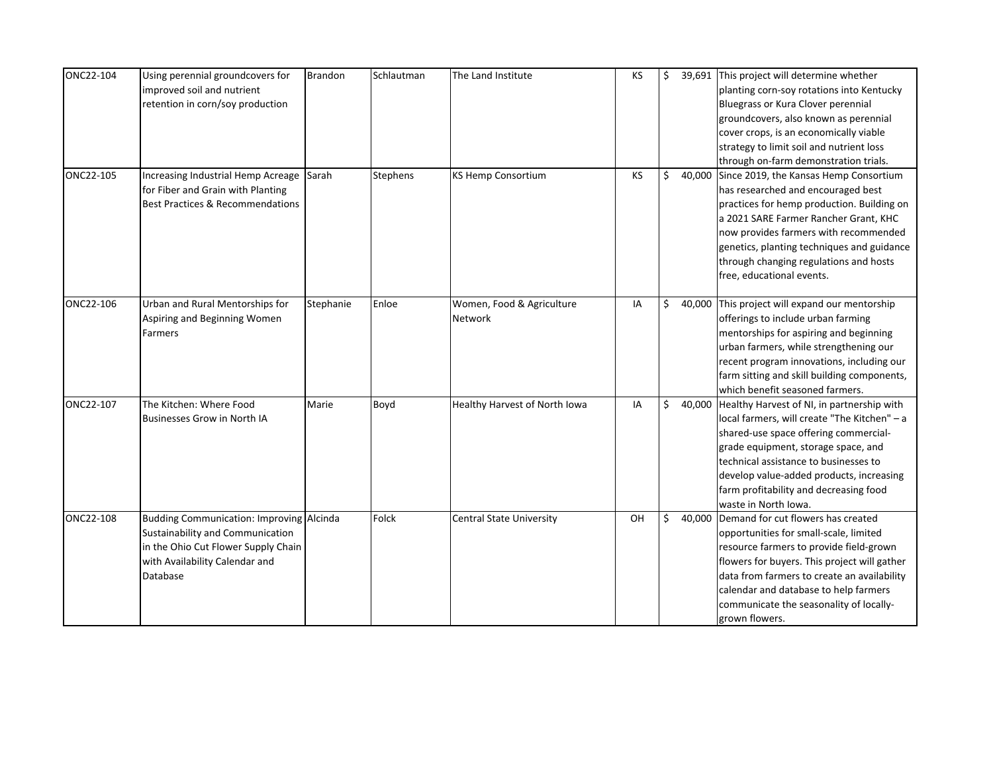| ONC22-104 | Using perennial groundcovers for<br>improved soil and nutrient<br>retention in corn/soy production                                                                | <b>Brandon</b> | Schlautman | The Land Institute                   | KS | \$       | 39,691 This project will determine whether<br>planting corn-soy rotations into Kentucky<br>Bluegrass or Kura Clover perennial<br>groundcovers, also known as perennial<br>cover crops, is an economically viable<br>strategy to limit soil and nutrient loss<br>through on-farm demonstration trials.                                    |
|-----------|-------------------------------------------------------------------------------------------------------------------------------------------------------------------|----------------|------------|--------------------------------------|----|----------|------------------------------------------------------------------------------------------------------------------------------------------------------------------------------------------------------------------------------------------------------------------------------------------------------------------------------------------|
| ONC22-105 | Increasing Industrial Hemp Acreage<br>for Fiber and Grain with Planting<br><b>Best Practices &amp; Recommendations</b>                                            | Sarah          | Stephens   | <b>KS Hemp Consortium</b>            | KS | \$       | 40,000 Since 2019, the Kansas Hemp Consortium<br>has researched and encouraged best<br>practices for hemp production. Building on<br>a 2021 SARE Farmer Rancher Grant, KHC<br>now provides farmers with recommended<br>genetics, planting techniques and guidance<br>through changing regulations and hosts<br>free, educational events. |
| ONC22-106 | Urban and Rural Mentorships for<br>Aspiring and Beginning Women<br>Farmers                                                                                        | Stephanie      | Enloe      | Women, Food & Agriculture<br>Network | IA | \$       | 40,000 This project will expand our mentorship<br>offerings to include urban farming<br>mentorships for aspiring and beginning<br>urban farmers, while strengthening our<br>recent program innovations, including our<br>farm sitting and skill building components,<br>which benefit seasoned farmers.                                  |
| ONC22-107 | The Kitchen: Where Food<br><b>Businesses Grow in North IA</b>                                                                                                     | Marie          | Boyd       | Healthy Harvest of North Iowa        | IA | \$40,000 | Healthy Harvest of NI, in partnership with<br>local farmers, will create "The Kitchen" - a<br>shared-use space offering commercial-<br>grade equipment, storage space, and<br>technical assistance to businesses to<br>develop value-added products, increasing<br>farm profitability and decreasing food<br>waste in North Iowa.        |
| ONC22-108 | Budding Communication: Improving Alcinda<br>Sustainability and Communication<br>in the Ohio Cut Flower Supply Chain<br>with Availability Calendar and<br>Database |                | Folck      | <b>Central State University</b>      | OH | \$       | 40,000 Demand for cut flowers has created<br>opportunities for small-scale, limited<br>resource farmers to provide field-grown<br>flowers for buyers. This project will gather<br>data from farmers to create an availability<br>calendar and database to help farmers<br>communicate the seasonality of locally-<br>grown flowers.      |